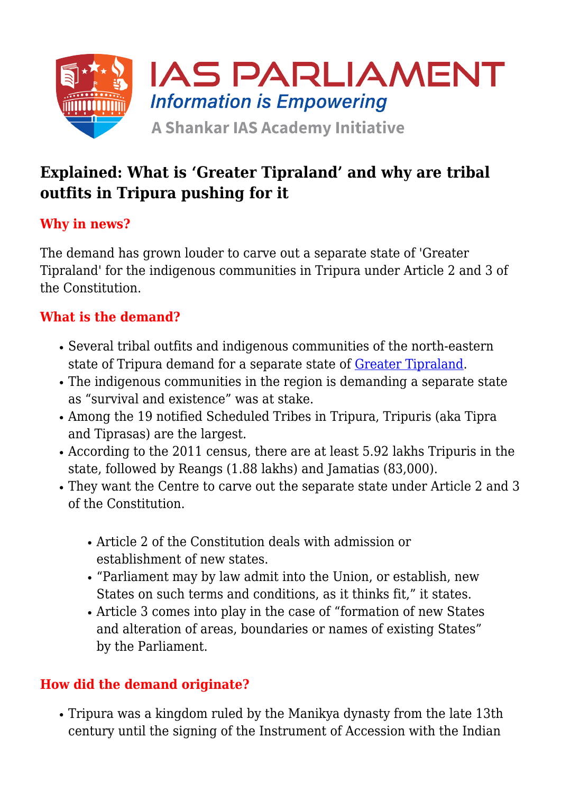

# **Explained: What is 'Greater Tipraland' and why are tribal outfits in Tripura pushing for it**

## **Why in news?**

The demand has grown louder to carve out a separate state of 'Greater Tipraland' for the indigenous communities in Tripura under Article 2 and 3 of the Constitution.

#### **What is the demand?**

- Several tribal outfits and indigenous communities of the north-eastern state of Tripura demand for a separate state of **Greater Tipraland**.
- The indigenous communities in the region is demanding a separate state as "survival and existence" was at stake.
- Among the 19 notified Scheduled Tribes in Tripura, Tripuris (aka Tipra and Tiprasas) are the largest.
- According to the 2011 census, there are at least 5.92 lakhs Tripuris in the state, followed by Reangs (1.88 lakhs) and Jamatias (83,000).
- They want the Centre to carve out the separate state under Article 2 and 3 of the Constitution.
	- Article 2 of the Constitution deals with admission or establishment of new states.
	- "Parliament may by law admit into the Union, or establish, new States on such terms and conditions, as it thinks fit," it states.
	- Article 3 comes into play in the case of "formation of new States and alteration of areas, boundaries or names of existing States" by the Parliament.

#### **How did the demand originate?**

Tripura was a kingdom ruled by the Manikya dynasty from the late 13th century until the signing of the Instrument of Accession with the Indian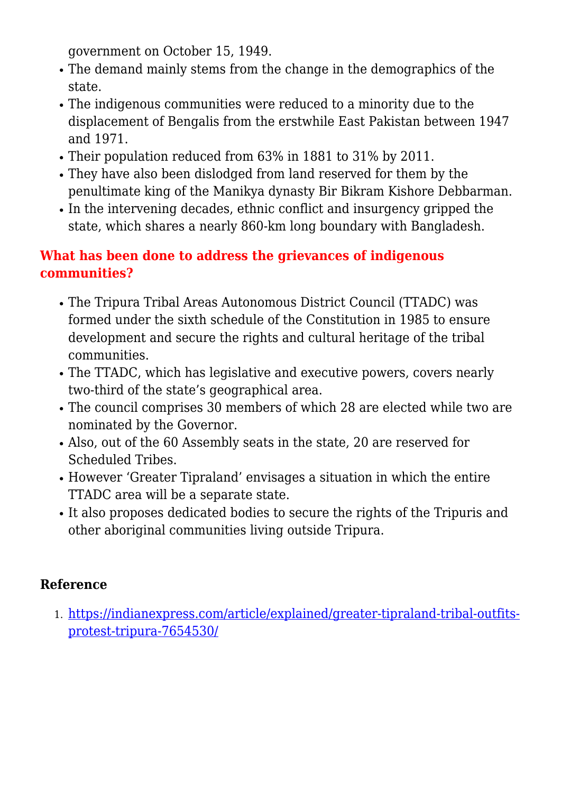government on October 15, 1949.

- The demand mainly stems from the change in the demographics of the state.
- The indigenous communities were reduced to a minority due to the displacement of Bengalis from the erstwhile East Pakistan between 1947 and 1971.
- Their population reduced from 63% in 1881 to 31% by 2011.
- They have also been dislodged from land reserved for them by the penultimate king of the Manikya dynasty Bir Bikram Kishore Debbarman.
- In the intervening decades, ethnic conflict and insurgency gripped the state, which shares a nearly 860-km long boundary with Bangladesh.

### **What has been done to address the grievances of indigenous communities?**

- The Tripura Tribal Areas Autonomous District Council (TTADC) was formed under the sixth schedule of the Constitution in 1985 to ensure development and secure the rights and cultural heritage of the tribal communities.
- The TTADC, which has legislative and executive powers, covers nearly two-third of the state's geographical area.
- The council comprises 30 members of which 28 are elected while two are nominated by the Governor.
- Also, out of the 60 Assembly seats in the state, 20 are reserved for Scheduled Tribes.
- However 'Greater Tipraland' envisages a situation in which the entire TTADC area will be a separate state.
- It also proposes dedicated bodies to secure the rights of the Tripuris and other aboriginal communities living outside Tripura.

#### **Reference**

1. [https://indianexpress.com/article/explained/greater-tipraland-tribal-outfits](https://indianexpress.com/article/explained/greater-tipraland-tribal-outfits-protest-tripura-7654530/)[protest-tripura-7654530/](https://indianexpress.com/article/explained/greater-tipraland-tribal-outfits-protest-tripura-7654530/)